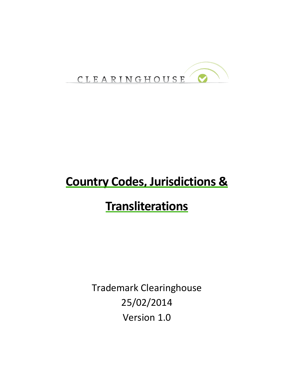

# **Country Codes, Jurisdictions &**

# **Transliterations**

Trademark Clearinghouse 25/02/2014 Version 1.0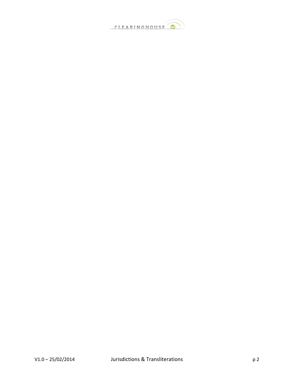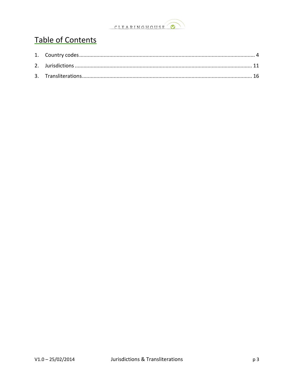

## **Table of Contents**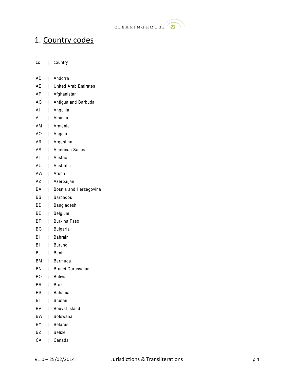

## <span id="page-3-0"></span>1. Country codes

| cс | country |
|----|---------|
|    |         |

| AD        | L | Andorra                |
|-----------|---|------------------------|
| AE        | L | United Arab Emirates   |
| AF        |   | Afghanistan            |
| AG        | L | Antigua and Barbuda    |
| ΑI        | L | Anguilla               |
| AL        | L | Albania                |
| AM        | L | Armenia                |
| AO -      |   | Angola                 |
| AR        | L | Argentina              |
| AS        | L | American Samoa         |
| AT        | L | Austria                |
| AU        | L | Australia              |
| AW        | L | Aruba                  |
| AZ        | L | Azerbaijan             |
| ΒA        | L | Bosnia and Herzegovina |
| ВB        | L | Barbados               |
| BD.       | L | Bangladesh             |
| BE        | L | Belgium                |
| ΒF        | L | <b>Burkina Faso</b>    |
| ВG        | L | <b>Bulgaria</b>        |
| BН        | L | Bahrain                |
| BI        | L | Burundi                |
| BJ        | L | Benin                  |
| BM        | L | Bermuda                |
| ΒN        | L | Brunei Darussalam      |
| BO        | L | <b>Bolivia</b>         |
| ΒR        | I | <b>Brazil</b>          |
| BS        |   | Bahamas                |
| ВT        |   | <b>Bhutan</b>          |
| <b>BV</b> | L | Bouvet Island          |
| BW        |   | Botswana               |
| BY.       | L | <b>Belarus</b>         |
| ΒZ        |   | <b>Belize</b>          |
| СA        |   | Canada                 |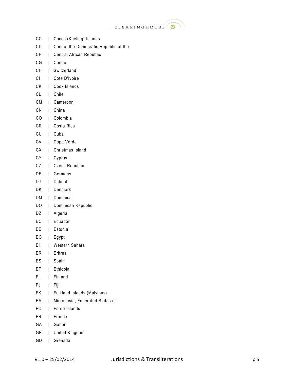CLEARINGHOUSE

- CC | Cocos (Keeling) Islands
- CD | Congo, the Democratic Republic of the
- CF | Central African Republic
- CG | Congo
- CH | Switzerland
- CI | Cote D'Ivoire
- CK | Cook Islands
- CL | Chile
- CM | Cameroon
- CN | China
- CO | Colombia
- CR | Costa Rica
- CU | Cuba
- CV | Cape Verde
- CX | Christmas Island
- CY | Cyprus
- CZ | Czech Republic
- DE | Germany
- DJ | Djibouti
- DK | Denmark
- DM | Dominica
- DO | Dominican Republic
- DZ | Algeria
- EC | Ecuador
- EE | Estonia
- EG | Egypt
- EH | Western Sahara
- ER | Eritrea
- ES | Spain
- ET | Ethiopia
- FI | Finland
- FJ | Fiji
- FK | Falkland Islands (Malvinas)
- FM | Micronesia, Federated States of
- FO | Faroe Islands
- FR | France
- GA | Gabon
- GB | United Kingdom
- GD | Grenada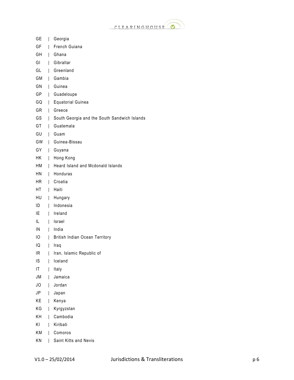| GE  | L | Georgia                                      |
|-----|---|----------------------------------------------|
| GF  | L | French Guiana                                |
| GН  | L | Ghana                                        |
| GI  | L | Gibraltar                                    |
| GL  | L | Greenland                                    |
| GM  | L | Gambia                                       |
| GN  | I | Guinea                                       |
| GP  | L | Guadeloupe                                   |
| GQ  | I | <b>Equatorial Guinea</b>                     |
| GR  | L | Greece                                       |
| GS  | I | South Georgia and the South Sandwich Islands |
| GT  | L | Guatemala                                    |
| GU  | L | Guam                                         |
| GW  | L | Guinea-Bissau                                |
| GY  | I | Guyana                                       |
| HK  | L | Hong Kong                                    |
| HM  | L | Heard Island and Mcdonald Islands            |
| HN  | L | Honduras                                     |
| HR  | I | Croatia                                      |
| НT  | L | Haiti                                        |
| HU  | L | Hungary                                      |
| ID  | L | Indonesia                                    |
| IE. | L | Ireland                                      |
| IL  | L | Israel                                       |
| IN  | L | India                                        |
| IО  | L | British Indian Ocean Territory               |
| IQ  | I | Iraq                                         |
| IR  | I | Iran, Islamic Republic of                    |
| IS  | I | Iceland                                      |
| ΙT  | I | Italy                                        |
| JM  | I | Jamaica                                      |
| JO  | L | Jordan                                       |
| JP  |   | Japan                                        |
| KE  | L | Kenya                                        |
| KG  | L | Kyrgyzstan                                   |
| KH  | L | Cambodia                                     |
| ΚI  | L | Kiribati                                     |
| KM  |   | Comoros                                      |
| KN  |   | Saint Kitts and Nevis                        |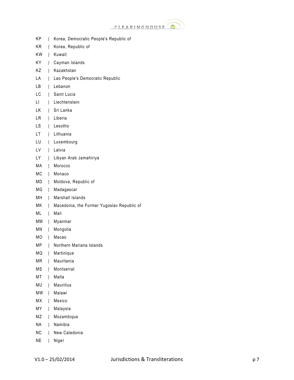- KP | Korea, Democratic People's Republic of
- KR | Korea, Republic of
- KW | Kuwait
- KY | Cayman Islands
- KZ | Kazakhstan
- LA | Lao People's Democratic Republic
- LB | Lebanon
- LC | Saint Lucia
- LI | Liechtenstein
- LK | Sri Lanka
- LR | Liberia
- LS | Lesotho
- LT | Lithuania
- LU | Luxembourg
- LV | Latvia
- LY | Libyan Arab Jamahiriya
- MA | Morocco
- MC | Monaco
- MD | Moldova, Republic of
- MG | Madagascar
- MH | Marshall Islands
- MK | Macedonia, the Former Yugoslav Republic of
- ML | Mali
- MM | Myanmar
- MN | Mongolia
- MO | Macao
- MP | Northern Mariana Islands
- MQ | Martinique
- MR | Mauritania
- MS | Montserrat
- MT | Malta
- MU | Mauritius
- MW | Malawi
- MX | Mexico
- MY | Malaysia
- MZ | Mozambique
- NA | Namibia
- NC | New Caledonia
- NE | Niger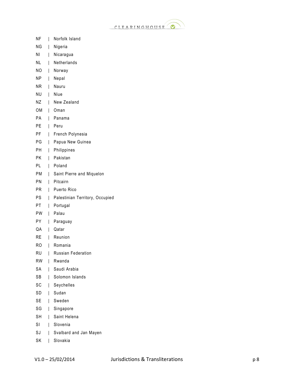### CLEARINGHOUSE

- NF | Norfolk Island
- NG | Nigeria
- NI | Nicaragua
- NL | Netherlands
- NO | Norway
- NP | Nepal
- NR | Nauru
- NU | Niue
- NZ | New Zealand
- OM | Oman
- PA | Panama
- PE | Peru
- PF | French Polynesia
- PG | Papua New Guinea
- PH | Philippines
- PK | Pakistan
- PL | Poland
- PM | Saint Pierre and Miquelon
- PN | Pitcairn
- PR | Puerto Rico
- PS | Palestinian Territory, Occupied
- PT | Portugal
- PW | Palau
- PY | Paraguay
- QA | Qatar
- RE | Reunion
- RO | Romania
- RU | Russian Federation
- RW | Rwanda
- SA | Saudi Arabia
- SB | Solomon Islands
- SC | Seychelles
- SD | Sudan
- SE | Sweden
- SG | Singapore
- SH | Saint Helena
- SI | Slovenia
- SJ | Svalbard and Jan Mayen
- SK | Slovakia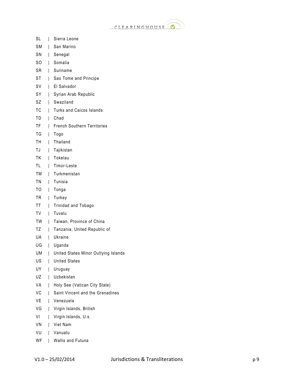CLEARINGHOUSE

- SL | Sierra Leone
- SM | San Marino
- SN | Senegal
- SO | Somalia
- SR | Suriname
- ST | Sao Tome and Principe
- SV | El Salvador
- SY | Syrian Arab Republic
- SZ | Swaziland
- TC | Turks and Caicos Islands
- TD | Chad
- TF | French Southern Territories
- TG | Togo
- TH | Thailand
- TJ | Tajikistan
- TK | Tokelau
- TL | Timor-Leste
- TM | Turkmenistan
- TN | Tunisia
- TO | Tonga
- TR | Turkey
- TT | Trinidad and Tobago
- TV | Tuvalu
- TW | Taiwan, Province of China
- TZ | Tanzania, United Republic of
- UA | Ukraine
- UG | Uganda
- UM | United States Minor Outlying Islands
- US | United States
- UY | Uruguay
- UZ | Uzbekistan
- VA | Holy See (Vatican City State)
- VC | Saint Vincent and the Grenadines
- VE | Venezuela
- VG | Virgin Islands, British
- VI | Virgin Islands, U.s.
- VN | Viet Nam
- VU | Vanuatu
- WF | Wallis and Futuna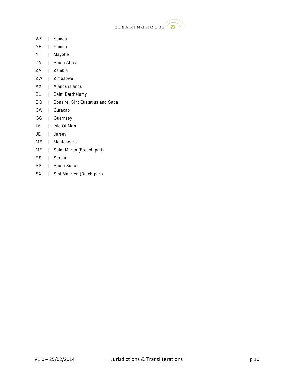- WS | Samoa
- YE | Yemen
- YT | Mayotte
- ZA | South Africa
- ZM | Zambia
- ZW | Zimbabwe
- AX | Alands islands
- BL | Saint Barthélemy
- BQ | Bonaire, Sint Eustatius and Saba
- CW | Curaçao
- GG | Guernsey
- IM | Isle Of Man
- JE | Jersey
- ME | Montenegro
- MF | Saint Martin (French part)
- RS | Serbia
- SS | South Sudan
- SX | Sint Maarten (Dutch part)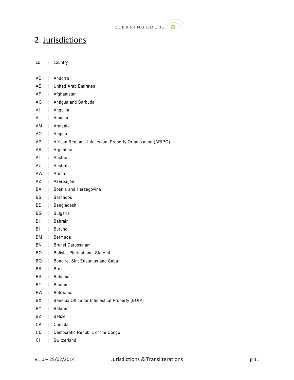

## <span id="page-10-0"></span>2. Jurisdictions

cc | country

| AD        | $\mathbf{I}$ | Andorra                                                     |
|-----------|--------------|-------------------------------------------------------------|
| AE        | L            | <b>United Arab Emirates</b>                                 |
| AF        | L            | Afghanistan                                                 |
| AG        | L            | Antigua and Barbuda                                         |
| AI        | L            | Anguilla                                                    |
| AL.       | L            | Albania                                                     |
| AM        | L            | Armenia                                                     |
| AO.       | L            | Angola                                                      |
| AP        | L            | African Regional Intellectual Property Organization (ARIPO) |
| AR        | L            | Argentina                                                   |
| AT        | L            | Austria                                                     |
| AU        | L            | Australia                                                   |
| AW        | $\mathbf{I}$ | Aruba                                                       |
| AΖ        | L            | Azerbaijan                                                  |
| ВA        | L            | Bosnia and Herzegovina                                      |
| ВB        | L            | <b>Barbados</b>                                             |
| ВD        | L            | Bangladesh                                                  |
| ВG        | L            | <b>Bulgaria</b>                                             |
| BН        | L            | Bahrain                                                     |
| BI        | L            | Burundi                                                     |
| ВM        | L            | Bermuda                                                     |
| BN        | L            | Brunei Darussalam                                           |
| BO        | L            | Bolivia, Plurinational State of                             |
| BQ        | L            | Bonaire, Sint Eustatius and Saba                            |
| BR        | L            | <b>Brazil</b>                                               |
| <b>BS</b> | L            | <b>Bahamas</b>                                              |
| ВT        |              | Bhutan                                                      |
| ВW        | L            | Botswana                                                    |
| ВX        | L            | Benelux Office for Intellectual Property (BOIP)             |
| ΒY        | L            | <b>Belarus</b>                                              |
| ΒZ        | L            | <b>Belize</b>                                               |
| CA        | L            | Canada                                                      |
| CD        | L            | Democratic Republic of the Congo                            |
| CН        |              | Switzerland                                                 |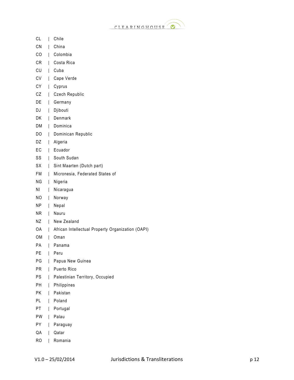| <b>CL</b> | I | Chile                                             |
|-----------|---|---------------------------------------------------|
| CN        | L | China                                             |
| CO        | T | Colombia                                          |
| CR        | T | Costa Rica                                        |
| CU        | I | Cuba                                              |
| CV        | I | Cape Verde                                        |
| CY        | L | Cyprus                                            |
| CZ        | I | Czech Republic                                    |
| DE        | I | Germany                                           |
| DJ        | I | Djibouti                                          |
| DK        | I | Denmark                                           |
| DM        | T | Dominica                                          |
| DO        | I | Dominican Republic                                |
| DZ        | I | Algeria                                           |
| ЕC        | T | Ecuador                                           |
| SS        | I | South Sudan                                       |
| SX        | I | Sint Maarten (Dutch part)                         |
| FM        | L | Micronesia, Federated States of                   |
| <b>NG</b> | L | Nigeria                                           |
| ΝI        | L | Nicaragua                                         |
| NO .      | I | Norway                                            |
| ΝP        | I | Nepal                                             |
| NR        | L | Nauru                                             |
| ΝZ        | L | New Zealand                                       |
| OA        | L | African Intellectual Property Organization (OAPI) |
| OM        | I | Oman                                              |
| PA        | I | Panama                                            |
| PE        | I | Peru                                              |
| PG        | I | Papua New Guinea                                  |
| PR        | I | Puerto Rico                                       |
| <b>PS</b> | I | Palestinian Territory, Occupied                   |
| <b>PH</b> | I | Philippines                                       |
| PK        | I | Pakistan                                          |
| PL.       | I | Poland                                            |
| PT        |   | Portugal                                          |
| PW        | I | Palau                                             |
| PY        | I | Paraguay                                          |
| QA        | I | Qatar                                             |
| <b>RO</b> |   | Romania                                           |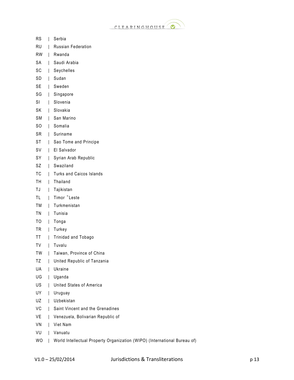### CLEARINGHOUSE

- RS | Serbia
- RU | Russian Federation
- RW | Rwanda
- SA | Saudi Arabia
- SC | Seychelles
- SD | Sudan
- SE | Sweden
- SG | Singapore
- SI | Slovenia
- SK | Slovakia
- SM | San Marino
- SO | Somalia
- SR | Suriname
- ST | Sao Tome and Principe
- SV | El Salvador
- SY | Syrian Arab Republic
- SZ | Swaziland
- TC | Turks and Caicos Islands
- TH | Thailand
- TJ | Tajikistan
- TL | Timor "Leste
- TM | Turkmenistan
- TN | Tunisia
- TO | Tonga
- TR | Turkey
- TT | Trinidad and Tobago
- TV | Tuvalu
- TW | Taiwan, Province of China
- TZ | United Republic of Tanzania
- UA | Ukraine
- UG | Uganda
- US | United States of America
- UY | Uruguay
- UZ | Uzbekistan
- VC | Saint Vincent and the Grenadines
- VE | Venezuela, Bolivarian Republic of
- VN | Viet Nam
- VU | Vanuatu
- WO | World Intellectual Property Organization (WIPO) (International Bureau of)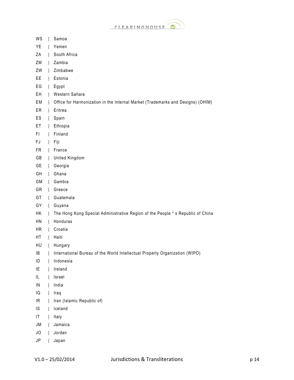| YE<br>Yemen<br>ΖA<br>South Africa<br>$\mathsf{I}$<br>ZM<br>Zambia<br>T<br>ZW<br>Zimbabwe<br>T<br>EE.<br>Estonia<br>T<br>EG<br>Egypt<br>T<br>EH<br>Western Sahara<br>L<br>Office for Harmonization in the Internal Market (Trademarks and Designs) (OHIM)<br>EM<br>T<br>ER<br>Eritrea<br>$\mathsf{I}$<br>ES<br>Spain<br>L<br>ET.<br>Ethiopia<br>T<br>Finland<br>FI<br>T<br>FJ<br>Fiji<br>T<br><b>FR</b><br>France<br>T<br>GB<br>United Kingdom<br>T<br>GE<br>Georgia<br>T<br>GH<br>Ghana<br>T<br>GM<br>Gambia<br>T<br>GR<br>Greece<br>T<br>GT<br>Guatemala<br>T<br>GY<br>Guyana<br>T<br>HK<br>The Hong Kong Special Administrative Region of the People * s Republic of China<br>T<br>HN<br>Honduras<br>T<br>Croatia<br>HR<br>T<br>НT<br>Haiti<br>HU<br>Hungary<br>International Bureau of the World Intellectual Property Organization (WIPO)<br>IB<br>ID<br>Indonesia<br>IE<br>Ireland<br>IL.<br>Israel<br>IN<br>India<br>T<br>IQ<br>Iraq<br>T<br>IR.<br>Iran (Islamic Republic of)<br>IS<br>Iceland<br>IT<br>Italy<br>T<br>JM<br>Jamaica<br>T<br>JO<br>Jordan<br>T<br>JP<br>Japan<br>T | WS | Samoa |
|------------------------------------------------------------------------------------------------------------------------------------------------------------------------------------------------------------------------------------------------------------------------------------------------------------------------------------------------------------------------------------------------------------------------------------------------------------------------------------------------------------------------------------------------------------------------------------------------------------------------------------------------------------------------------------------------------------------------------------------------------------------------------------------------------------------------------------------------------------------------------------------------------------------------------------------------------------------------------------------------------------------------------------------------------------------------------------------|----|-------|
|                                                                                                                                                                                                                                                                                                                                                                                                                                                                                                                                                                                                                                                                                                                                                                                                                                                                                                                                                                                                                                                                                          |    |       |
|                                                                                                                                                                                                                                                                                                                                                                                                                                                                                                                                                                                                                                                                                                                                                                                                                                                                                                                                                                                                                                                                                          |    |       |
|                                                                                                                                                                                                                                                                                                                                                                                                                                                                                                                                                                                                                                                                                                                                                                                                                                                                                                                                                                                                                                                                                          |    |       |
|                                                                                                                                                                                                                                                                                                                                                                                                                                                                                                                                                                                                                                                                                                                                                                                                                                                                                                                                                                                                                                                                                          |    |       |
|                                                                                                                                                                                                                                                                                                                                                                                                                                                                                                                                                                                                                                                                                                                                                                                                                                                                                                                                                                                                                                                                                          |    |       |
|                                                                                                                                                                                                                                                                                                                                                                                                                                                                                                                                                                                                                                                                                                                                                                                                                                                                                                                                                                                                                                                                                          |    |       |
|                                                                                                                                                                                                                                                                                                                                                                                                                                                                                                                                                                                                                                                                                                                                                                                                                                                                                                                                                                                                                                                                                          |    |       |
|                                                                                                                                                                                                                                                                                                                                                                                                                                                                                                                                                                                                                                                                                                                                                                                                                                                                                                                                                                                                                                                                                          |    |       |
|                                                                                                                                                                                                                                                                                                                                                                                                                                                                                                                                                                                                                                                                                                                                                                                                                                                                                                                                                                                                                                                                                          |    |       |
|                                                                                                                                                                                                                                                                                                                                                                                                                                                                                                                                                                                                                                                                                                                                                                                                                                                                                                                                                                                                                                                                                          |    |       |
|                                                                                                                                                                                                                                                                                                                                                                                                                                                                                                                                                                                                                                                                                                                                                                                                                                                                                                                                                                                                                                                                                          |    |       |
|                                                                                                                                                                                                                                                                                                                                                                                                                                                                                                                                                                                                                                                                                                                                                                                                                                                                                                                                                                                                                                                                                          |    |       |
|                                                                                                                                                                                                                                                                                                                                                                                                                                                                                                                                                                                                                                                                                                                                                                                                                                                                                                                                                                                                                                                                                          |    |       |
|                                                                                                                                                                                                                                                                                                                                                                                                                                                                                                                                                                                                                                                                                                                                                                                                                                                                                                                                                                                                                                                                                          |    |       |
|                                                                                                                                                                                                                                                                                                                                                                                                                                                                                                                                                                                                                                                                                                                                                                                                                                                                                                                                                                                                                                                                                          |    |       |
|                                                                                                                                                                                                                                                                                                                                                                                                                                                                                                                                                                                                                                                                                                                                                                                                                                                                                                                                                                                                                                                                                          |    |       |
|                                                                                                                                                                                                                                                                                                                                                                                                                                                                                                                                                                                                                                                                                                                                                                                                                                                                                                                                                                                                                                                                                          |    |       |
|                                                                                                                                                                                                                                                                                                                                                                                                                                                                                                                                                                                                                                                                                                                                                                                                                                                                                                                                                                                                                                                                                          |    |       |
|                                                                                                                                                                                                                                                                                                                                                                                                                                                                                                                                                                                                                                                                                                                                                                                                                                                                                                                                                                                                                                                                                          |    |       |
|                                                                                                                                                                                                                                                                                                                                                                                                                                                                                                                                                                                                                                                                                                                                                                                                                                                                                                                                                                                                                                                                                          |    |       |
|                                                                                                                                                                                                                                                                                                                                                                                                                                                                                                                                                                                                                                                                                                                                                                                                                                                                                                                                                                                                                                                                                          |    |       |
|                                                                                                                                                                                                                                                                                                                                                                                                                                                                                                                                                                                                                                                                                                                                                                                                                                                                                                                                                                                                                                                                                          |    |       |
|                                                                                                                                                                                                                                                                                                                                                                                                                                                                                                                                                                                                                                                                                                                                                                                                                                                                                                                                                                                                                                                                                          |    |       |
|                                                                                                                                                                                                                                                                                                                                                                                                                                                                                                                                                                                                                                                                                                                                                                                                                                                                                                                                                                                                                                                                                          |    |       |
|                                                                                                                                                                                                                                                                                                                                                                                                                                                                                                                                                                                                                                                                                                                                                                                                                                                                                                                                                                                                                                                                                          |    |       |
|                                                                                                                                                                                                                                                                                                                                                                                                                                                                                                                                                                                                                                                                                                                                                                                                                                                                                                                                                                                                                                                                                          |    |       |
|                                                                                                                                                                                                                                                                                                                                                                                                                                                                                                                                                                                                                                                                                                                                                                                                                                                                                                                                                                                                                                                                                          |    |       |
|                                                                                                                                                                                                                                                                                                                                                                                                                                                                                                                                                                                                                                                                                                                                                                                                                                                                                                                                                                                                                                                                                          |    |       |
|                                                                                                                                                                                                                                                                                                                                                                                                                                                                                                                                                                                                                                                                                                                                                                                                                                                                                                                                                                                                                                                                                          |    |       |
|                                                                                                                                                                                                                                                                                                                                                                                                                                                                                                                                                                                                                                                                                                                                                                                                                                                                                                                                                                                                                                                                                          |    |       |
|                                                                                                                                                                                                                                                                                                                                                                                                                                                                                                                                                                                                                                                                                                                                                                                                                                                                                                                                                                                                                                                                                          |    |       |
|                                                                                                                                                                                                                                                                                                                                                                                                                                                                                                                                                                                                                                                                                                                                                                                                                                                                                                                                                                                                                                                                                          |    |       |
|                                                                                                                                                                                                                                                                                                                                                                                                                                                                                                                                                                                                                                                                                                                                                                                                                                                                                                                                                                                                                                                                                          |    |       |
|                                                                                                                                                                                                                                                                                                                                                                                                                                                                                                                                                                                                                                                                                                                                                                                                                                                                                                                                                                                                                                                                                          |    |       |
|                                                                                                                                                                                                                                                                                                                                                                                                                                                                                                                                                                                                                                                                                                                                                                                                                                                                                                                                                                                                                                                                                          |    |       |
|                                                                                                                                                                                                                                                                                                                                                                                                                                                                                                                                                                                                                                                                                                                                                                                                                                                                                                                                                                                                                                                                                          |    |       |
|                                                                                                                                                                                                                                                                                                                                                                                                                                                                                                                                                                                                                                                                                                                                                                                                                                                                                                                                                                                                                                                                                          |    |       |
|                                                                                                                                                                                                                                                                                                                                                                                                                                                                                                                                                                                                                                                                                                                                                                                                                                                                                                                                                                                                                                                                                          |    |       |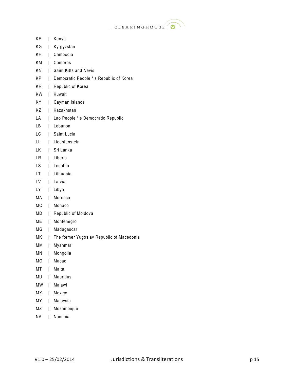CLEARINGHOUSE

- KE | Kenya
- KG | Kyrgyzstan
- KH | Cambodia
- KM | Comoros
- KN | Saint Kitts and Nevis
- KP | Democratic People\*s Republic of Korea
- KR | Republic of Korea
- KW | Kuwait
- KY | Cayman Islands
- KZ | Kazakhstan
- LA | Lao People \* s Democratic Republic
- LB | Lebanon
- LC | Saint Lucia
- LI | Liechtenstein
- LK | Sri Lanka
- LR | Liberia
- LS | Lesotho
- LT | Lithuania
- LV | Latvia
- LY | Libya
- MA | Morocco
- MC | Monaco
- MD | Republic of Moldova
- ME | Montenegro
- MG | Madagascar
- MK | The former Yugoslav Republic of Macedonia
- MM | Myanmar
- MN | Mongolia
- MO | Macao
- MT | Malta
- MU | Mauritius
- MW | Malawi
- MX | Mexico
- MY | Malaysia
- MZ | Mozambique
- NA | Namibia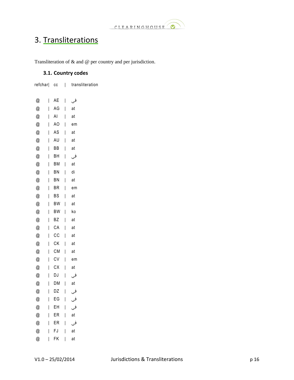

## <span id="page-15-0"></span>3. Transliterations

Transliteration of & and @ per country and per jurisdiction.

### **3.1. Country codes**

refchar| cc | transliteration

| @                         | I | AE | I | فی |
|---------------------------|---|----|---|----|
| $^{\textregistered}$      | I | ΑG | I | at |
| $^\text{\textregistered}$ | I | AI | I | at |
| $^{\textregistered}$      | I | AO | ۱ | em |
| @                         | I | AS | ۱ | at |
| $^{\textregistered}$      | I | AU | I | at |
| $^\text{\textregistered}$ | I | ВB | I | at |
| $^\text{\textregistered}$ | I | ΒH | I | فی |
| $^{\textregistered}$      | I | ВM | I | at |
| @                         | I | ΒN | ۱ | di |
| $^{\textregistered}$      | I | ΒN | I | at |
| $^{\textregistered}$      | I | ΒR | I | em |
| @                         | I | ВS | ۱ | at |
| @                         | I | BW | I | at |
| @                         | I | BW | I | ko |
| @                         | I | ΒZ | ۱ | at |
| @                         | I | СA | I | at |
| @                         | I | CC | ۱ | at |
| @                         | I | СK | I | at |
| @                         | I | СM | I | at |
| @                         | I | CV | ۱ | em |
| $^{\textregistered}$      | I | СX | I | at |
| $^{\textregistered}$      | I | DJ | I | فی |
| @                         | I | DM | I | at |
| @                         | I | DZ | I | فی |
| @                         | I | EG | I | فی |
| $^\text{\textregistered}$ | I | EΗ | I | فر |
| $^\text{\textregistered}$ | I | ER | I | at |
| $^\text{\textregistered}$ | I | ER | I | فی |
| $^{\textregistered}$      | I | FJ | I | at |
| @                         | I | FK | I | at |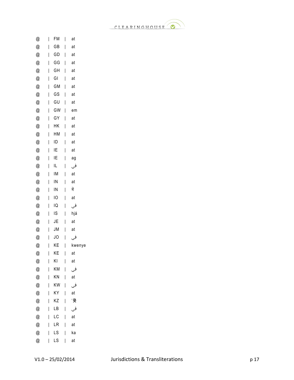| @                         | I | FM | ۱ | at     |
|---------------------------|---|----|---|--------|
| @                         | I | GВ | ۱ | at     |
| $^{\textregistered}$      | I | GD | ۱ | at     |
| $^{\textregistered}$      | I | GG | ۱ | at     |
| @                         | I | GН | ۱ | at     |
| @                         | I | GI | ۱ | at     |
| @                         | I | GM | I | at     |
| $^{\textregistered}$      | I | GS | I | at     |
| $^\text{\textregistered}$ | I | GU | ۱ | at     |
| @                         | I | GW | ۱ | em     |
| $^{\textregistered}$      | I | GY | ۱ | at     |
| @                         | I | НK | I | at     |
| @                         | I | НM | I | at     |
| @                         | I | ID | ۱ | at     |
| @                         | I | ΙE | I | at     |
| $^{\textregistered}$      | I | ΙE | ۱ | ag     |
| $^{\textregistered}$      | I | IL | ۱ | فی     |
| @                         | I | ΙM | I | at     |
| @                         | I | IN | ۱ | at     |
| @                         | I | IN | ۱ | में    |
| $^{\textregistered}$      | I | 10 | I | at     |
| $^{\textregistered}$      | I | IQ | ۱ | فی     |
| @                         | I | IS | I | hjá    |
| $^{\textregistered}$      | I | JE | I | at     |
| $^\text{\textregistered}$ | I | JM | ۱ | at     |
| @                         | I | JO | I | فی     |
| @                         | I | KE | I | kwenye |
| $^\text{\textregistered}$ | I | ΚE | I | at     |
| @                         | I | ΚI | ۱ | at     |
| $^{\textregistered}$      |   | ΚM | I | فی     |
| $^{\textregistered}$      | I | ΚN | ۱ | at     |
| @                         | I | KW | I | فی     |
| $^{\textregistered}$      | I | ΚY | ۱ | at     |
| $^\text{\textregistered}$ |   | ΚZ | ۱ | '癸     |
| @                         | I | LΒ | I | فی     |
| $^{\textregistered}$      | I | LC | I | at     |
| $^\text{\textregistered}$ | I | LR | I | at     |
| $^{\textregistered}$      | I | LS | I | ka     |
| @                         |   | LS | I | at     |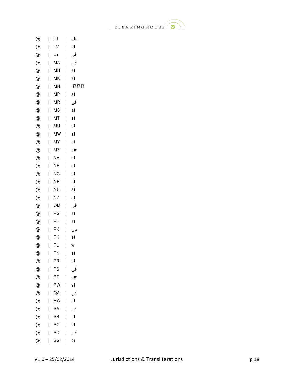| @                         | I | LТ        | I | eta  |
|---------------------------|---|-----------|---|------|
| $^\text{\textregistered}$ | I | LV        | I | at   |
| $^\text{\textregistered}$ | I | LY        | I | فی   |
| @                         | I | МA        | I | فی   |
| $^{\textregistered}$      | I | MΗ        | I | at   |
| $^\text{\textregistered}$ | I | MΚ        | I | at   |
| @                         | I | ΜN        | ۱ | '穿穿砂 |
| $^{\textregistered}$      | I | МP        | I | at   |
| @                         | I | MR        | I | فی   |
| $^\text{\textregistered}$ | I | ΜS        | I | at   |
| @                         | I | МT        | I | at   |
| @                         | I | ΜU        | I | at   |
| $^{\textregistered}$      | I | <b>MW</b> | ۱ | at   |
| @                         | I | MΥ        | I | di   |
| @                         | I | MΖ        | I | em   |
| $^\text{\textregistered}$ | I | ΝA        | I | at   |
| @                         | I | ΝF        | I | at   |
| $^{\textregistered}$      | I | ΝG        | I | at   |
| @                         | I | ΝR        | I | at   |
| @                         | I | ΝU        | I | at   |
| @                         | I | ΝZ        | I | at   |
| @                         | I | OM        | I | فی   |
| $^\text{\textregistered}$ | I | PG        | I | at   |
| $^\text{\textregistered}$ | I | PН        | I | at   |
| @                         | I | PK        | I | میں  |
| @                         | I | PK        | I | at   |
| $^\copyright$             | I | PL        | I | W    |
| @                         | I | PN        | I | at   |
| @                         |   | ΡR        |   | at   |
| $^{\copyright}$           | I | PS        | I | فی   |
| @                         |   | PT        | I | em   |
| @                         | I | PW        | I | at   |
| @                         | I | QA        | I | فی   |
| @                         | I | RW        | I | at   |
| @                         | I | SA        | I | فی   |
| @                         | I | SB        | I | at   |
| @                         |   | SC        | I | at   |
| $^{\copyright}$           | I | SD        | I | فی   |
| $^\text{\textregistered}$ |   | SG        |   | di   |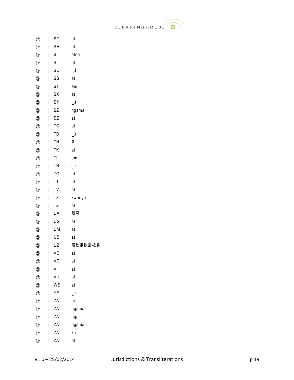| @                         | I | SG            | I | at      |
|---------------------------|---|---------------|---|---------|
| @                         | I | SΗ            | I | at      |
| $^\text{\textregistered}$ | I | $\mathsf{SI}$ | I | afna    |
| @                         | I | SL            | I | at      |
| @                         | I | SO            | I | فی      |
| @                         | I | SS            | I | at      |
| @                         | I | ST            | I | em      |
| @                         | I | SX            | I | at      |
| @                         | I | SY            | I | فی      |
| @                         | I | SZ            | I | ngama   |
| @                         | I | SZ            | I | at      |
| @                         | I | <b>TC</b>     | I | at      |
| @                         | I | TD            | I | فی      |
| @                         | I | TΗ            | I | ที่     |
| @                         | I | ΤK            | I | at      |
| @                         | I | TL            | I | em      |
| $^\text{\textregistered}$ | I | TN            | I | فی      |
| @                         | I | TO            | I | at      |
| @                         | I | TT            | I | at      |
| @                         | I | TV            | I | at      |
| @                         | I | TZ            | I | kwenye  |
| $^\text{\textregistered}$ | I | TZ            | I | at      |
| @                         | I | UA            | I | 盼癸      |
| $^\text{\textregistered}$ | I | UG            | I | at      |
| $^\text{\textregistered}$ | I | UM            | I | at      |
| @                         | I | US            | I | at      |
| @                         | I | UZ            | I | 眉砍祇砍眉祇癸 |
| @                         | I | VC            | I | at      |
| $^\text{\textregistered}$ | I | VG            | I | at      |
| @                         | I | VI            | I | at      |
| @                         | I | VU            | I | at      |
| @                         | I | WS            |   | at      |
| @                         | I | YE            | I | فی      |
| @                         |   | ΖA            | I | hi      |
| @                         | I | ΖA            | I | ngama-  |
| @                         | I | ZA            | I | nga     |
| @                         | I | ΖA            | I | ngama   |
| @                         | I | ΖA            | I | ka      |
| @                         | I | ΖA            | ۱ | at      |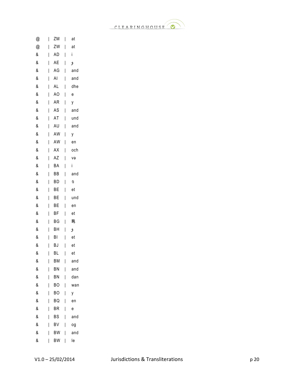| @ | I | ZM | ۱ | at           |
|---|---|----|---|--------------|
| @ | I | ZW | ۱ | at           |
| & | I | AD | ۱ | i            |
| & | I | AE | I | و            |
| & | I | AG | ۱ | and          |
| & | I | Al | ۱ | and          |
| & | I | AL | ۱ | dhe          |
| & | I | AO | ۱ | e            |
| & | I | AR | I | у            |
| & | I | AS | I | and          |
| & | I | AT | ۱ | und          |
| & | I | AU | ۱ | and          |
| & | I | AW | ۱ | у            |
| & | I | AW | ۱ | en           |
| & | I | AX | ۱ | och          |
| & | I | AZ | ۱ | və           |
| & | I | ВA | I | i            |
| & | I | ΒB | ۱ | and          |
| & | I | ВD | ۱ | $\mathbb{S}$ |
| & | I | ΒE | ۱ | et           |
| & | I | ΒE | ۱ | und          |
| & | I | ΒE | ۱ | en           |
| & | I | ΒF | ۱ | et           |
| & | I | ΒG | ۱ | 盹            |
| & | I | BН | I | و            |
| & | ۱ | ΒI | ۱ | et           |
| & | I | ВJ | I | et           |
| & | I | ВL | I | et           |
| & | I | ВM | ۱ | and          |
| & | I | ΒN | ۱ | and          |
| & | I | ΒN | I | dan          |
| & | I | ВO | I | wan          |
| & | I | BO | I | у            |
| & | I | ВQ | I | en           |
| & | I | ΒR | I | е            |
| & | I | BS | I | and          |
| & | I | BV | I | og           |
| & | I | ΒW | I | and          |
| & | I | BW | ۱ | le           |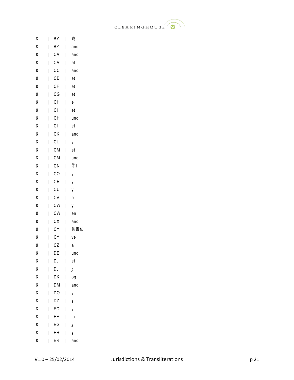| & | I | ΒY | ۱ | 盹   |
|---|---|----|---|-----|
| & | I | ΒZ | I | and |
| & | I | СA | I | and |
| & | I | СA | I | et  |
| & | I | CC | I | and |
| & | I | CD | I | et  |
| & | I | СF | I | et  |
| & | I | CG | I | et  |
| & | I | СH | I | е   |
| & | I | СH | I | et  |
| & | I | СH | I | und |
| & | I | СI | I | et  |
| & | I | СK | I | and |
| & | I | CL | I | y   |
| & | I | CM | I | et  |
| & | I | CM | I | and |
| & | I | CN | I | 和   |
| & | I | CO | I | y   |
| & | I | CR | I | у   |
| & | I | CU | I | y   |
| & | I | CV | I | e   |
| & | I | CW | I | y   |
| & | I | CW | I | en  |
| & | I | CX | I | and |
| & | I | СY | I | 伉丟仿 |
| & | I | СY | I | ve  |
| & | I | CZ | ۱ | a   |
| & | I | DE | I | und |
| & | I | DJ |   | et  |
| & | I | DJ | I | و   |
| & | I | DK | I | og  |
| & | I | DM | I | and |
| & | I | DO | I | у   |
| & | I | DZ | I | و   |
| & | I | EC | I | y   |
| & | ۱ | ЕE | I | ja  |
| & | I | EG | I | و   |
| & | I | EΗ | I | و   |
| & | I | ER | I | and |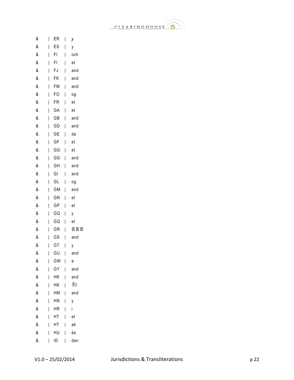| & | I | ER | I | و   |
|---|---|----|---|-----|
| & | I | ES | ۱ | у   |
| & | I | FI | ۱ | och |
| & | I | FI | ۱ | et  |
| & | I | FJ | ۱ | and |
| & | I | FK | ۱ | and |
| & | I | FM | ۱ | and |
| & | I | FO | ۱ | og  |
| & | I | FR | I | et  |
| & | I | GA | ۱ | et  |
| & | I | GB | ۱ | and |
| & | I | GD | ۱ | and |
| & | I | GE | ۱ | da  |
| & | I | GF | ۱ | et  |
| & | I | GG | ۱ | et  |
| & | I | GG | ۱ | and |
| & | I | GΗ | I | and |
| & | I | GI | ۱ | and |
| & | I | GL | I | og  |
| & | I | GM | ۱ | and |
| & | I | GN | I | et  |
| & | I | GР | I | et  |
| & | I | GQ | ۱ | y   |
| & | I | GQ | ۱ | et  |
| & | I | GR | I | 伉丟仿 |
| & | I | GS | ۱ | and |
| & | I | GT | I | у   |
| & | I | GU | ۱ | and |
| & | I | GW | I | е   |
| & | I | GY | I | and |
| & | I | НK | I | and |
| & | I | ΗK | I | 和   |
| & | I | HM | ۱ | and |
| & |   | ΗN | I | у   |
| & | I | ΗR | ۱ | i   |
| & |   | НT | ۱ | et  |
| & | I | НT | ۱ | ak  |
| & | I | HU | ۱ | és  |
| & | I | ID | ۱ | dan |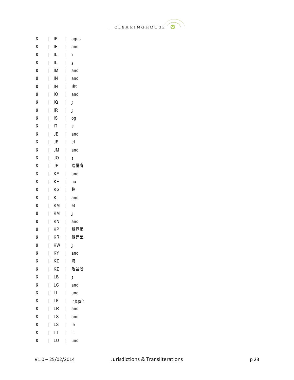| I | ΙE | I | agus    |
|---|----|---|---------|
| I | ΙE | ۱ | and     |
| I | IL | I | ı       |
| I | IL | I | و       |
| I | ΙM | ۱ | and     |
| I | IN | ۱ | and     |
| I | IN | ۱ | और      |
| I | IО | ۱ | and     |
| I | IQ | I | و       |
| I | ΙR | ۱ | و       |
| I | IS | ۱ | og      |
| I | IT | I | е       |
| I | JE | ۱ | and     |
| I | JE | ۱ | et      |
| ۱ | JM | ۱ | and     |
| I | JO | I | و       |
| I | JP | ۱ | 哈扁宥     |
| I | KΕ | ۱ | and     |
| I | ΚE | ۱ | na      |
| I | ΚG | ۱ | 盹       |
| I | ΚI | ۱ | and     |
| I | ΚM | I | et      |
| ۱ | ΚM | ۱ | و       |
| I | ΚN | I | and     |
| I | ΚP | I | 斜葬堅     |
| I | ΚR | I | 斜葬堅     |
| I | KW | ۱ | و       |
| I | ΚY | I | and     |
|   | ΚZ | I | 盹       |
| I | ΚZ | ۱ | 盾盆盼     |
|   | LΒ | I | و       |
| I | LC | I | and     |
| I | LI | I | und     |
| I | LK | I | மற்றும் |
| I | LR | I | and     |
| I | LS | I | and     |
| I | LS | I | le      |
| I | LT | ۱ | ir      |
| I | LU | I | und     |
|   |    |   |         |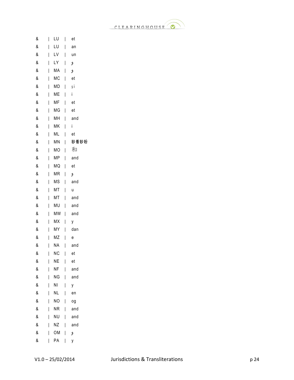| & | I | LU  | ۱ | et   |
|---|---|-----|---|------|
| & | I | LU  | ۱ | an   |
| & | I | LV  | ۱ | un   |
| & | I | LY  | I | و    |
| & | I | МA  | ۱ | و    |
| & | I | МC  | ۱ | et   |
| & | I | MD  | I | ș i  |
| & | I | ME  | ۱ | i    |
| & | I | МF  | ۱ | et   |
| & | I | ΜG  | I | et   |
| & | I | MН  | I | and  |
| & | I | ΜK  | ۱ | i    |
| & | I | ML. | I | et   |
| & | I | MN  | I | 眇看眇盼 |
| & | I | МO  | I | 和    |
| & | I | MP  | ۱ | and  |
| & | I | ΜQ  | I | et   |
| & | I | MR  | ۱ | و    |
| & | I | MS  | I | and  |
| & | I | МT  | ۱ | u    |
| & | I | МT  | ۱ | and  |
| & | I | MU  | ۱ | and  |
| & | I | MW  | ۱ | and  |
| & | I | MΧ  | ۱ | y    |
| & | I | ΜY  | I | dan  |
| & | I | ΜZ  | ۱ | е    |
| & | I | ΝA  | ۱ | and  |
| & | I | NC  | I | et   |
| & | I | NΕ  | I | et   |
| & | I | ΝF  | ۱ | and  |
| & | I | ΝG  | I | and  |
| & | I | ΝI  | ۱ | у    |
| & | I | NL  | I | en   |
| & | I | ΝO  | I | og   |
| & | I | ΝR  | ۱ | and  |
| & | I | NU  | ۱ | and  |
| & | I | ΝZ  | I | and  |
| & | I | ОM  | I | و    |
| & | I | PA  | I | у    |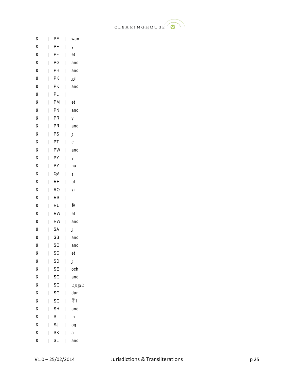| & | I | PЕ | I | wan     |
|---|---|----|---|---------|
| & | I | РE | I | у       |
| & | I | ΡF | I | et      |
| & | I | ΡG | I | and     |
| & | I | ΡH | I | and     |
| & | I | PΚ | I | اور     |
| & | I | PΚ | I | and     |
| & | I | PL | I | i       |
| & | I | РM | I | et      |
| & | I | ΡN | I | and     |
| & | I | ΡR | I | у       |
| & | I | ΡR | I | and     |
| & | ۱ | PS | I | و       |
| & | I | РT | I | е       |
| & | I | PW | I | and     |
| & | I | PY | I | у       |
| & | I | PY | I | ha      |
| & | I | QA | I | و       |
| & | I | RE | I | et      |
| & | I | RO | I | ș i     |
| & | I | RS | I | i.      |
| & | I | RU | I | 盹       |
| & | I | RW | I | et      |
| & | I | RW | I | and     |
| & | I | SА | I | و       |
| & | I | SB | I | and     |
| & | I | SC | I | and     |
| & | I | SC | I | et      |
| & | I | SD | I | و       |
| & | I | SE | I | och     |
| & | I | SG | I | and     |
| & | I | SG | I | மற்றும் |
| & | I | SG | I | dan     |
| & | I | SG | I | 和       |
| & | I | SH | I | and     |
| & | I | SI | I | in      |
| & | I | SJ | I | og      |
| & | I | SK | I | a       |
| & | I | SL | I | and     |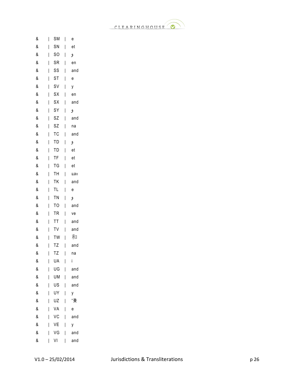| & | I | <b>SM</b> | ١ | e   |
|---|---|-----------|---|-----|
| & | I | SN        | I | et  |
| & | I | SO        | ۱ | و   |
| & | I | <b>SR</b> | ۱ | en  |
| & | I | SS        | ۱ | and |
| & | I | <b>ST</b> | ۱ | e   |
| & | I | <b>SV</b> | ۱ | у   |
| & | I | SX        | ۱ | en  |
| & | I | SX        | I | and |
| & | I | SY        | ۱ | و   |
| & | I | SZ        | ۱ | and |
| & | I | SZ        | ۱ | na  |
| & | I | ТC        | ۱ | and |
| & | I | TD        | I | و   |
| & | I | TD        | ۱ | et  |
| & | I | TF        | ۱ | et  |
| & | I | ΤG        | ۱ | et  |
| & | I | <b>TH</b> | ۱ | และ |
| & | I | ΤK        | I | and |
| & | I | TL        | ۱ | e   |
| & | I | TN        | I | و   |
| & | I | <b>TO</b> | ١ | and |
| & | I | <b>TR</b> | ۱ | ve  |
| & | I | <b>TT</b> | ۱ | and |
| & | I | TV        | I | and |
| & | I | TW        | I | 和   |
| & | I | ΤZ        | ١ | and |
| & | I | TZ        | I | na  |
| & | I | UA        | I | i   |
| & | I | UG        | I | and |
| & | I | UM        | I | and |
| & | I | US        | I | and |
| & | I | UY        | I | у   |
| & | I | UZ        | I | "癸  |
| & | I | VA        | I | е   |
| & | I | VC        | I | and |
| & | I | VE        | I | y   |
| & | I | VG        | I | and |
| & | I | VI        | I | and |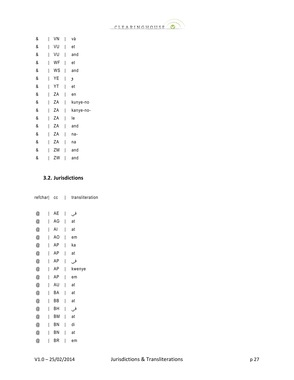| & |   | VN |   | và        |
|---|---|----|---|-----------|
| & |   | VU |   | et        |
| & | I | VU | I | and       |
| & |   | WF |   | et        |
| & |   | WS |   | and       |
| & |   | ΥE |   | و         |
| & |   | YT |   | et        |
| & | I | ZA |   | en        |
| & | I | ΖA |   | kunye-no  |
| & |   | ZA |   | kanye-no- |
| & |   | ZA |   | le        |
| & |   | ΖA |   | and       |
| & |   | ZA |   | na-       |
| & |   | ZA |   | na        |
| & |   | ZM |   | and       |
| & |   | ZW |   | and       |
|   |   |    |   |           |

### **3.2. Jurisdictions**

| refchar              |   | СC | I | transliteration |
|----------------------|---|----|---|-----------------|
| @                    | I | AE | I | فی              |
| $^{\textregistered}$ | I | AG | I | at              |
| @                    | I | Al | I | at              |
| @                    | I | AO | I | em              |
| $^{\textregistered}$ | I | AΡ | I | ka              |
| @                    | I | ΑP | ۱ | at              |
| $^{\textregistered}$ | I | ΑP | ۱ | فی              |
| $^{\textregistered}$ | I | ΑP | I | kwenye          |
| $^{\textregistered}$ | I | AΡ | I | em              |
| $^{\textregistered}$ | I | AU | I | at              |
| $^{\textregistered}$ | I | ΒA | I | at              |
| $^{\textregistered}$ | I | BВ | I | at              |
| $^{\textregistered}$ | I | ΒH | ۱ | فی              |
| $^{\textregistered}$ | I | ВM | I | at              |
| $^{\textregistered}$ | I | ΒN | I | di              |
| $^{\textregistered}$ | I | ΒN | I | at              |
| @                    |   | ΒR | I | em              |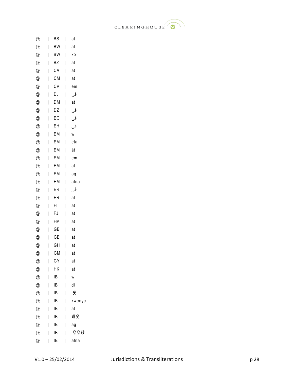| @                         | I | ВS  | I | at       |
|---------------------------|---|-----|---|----------|
| $^\text{\textregistered}$ | I | BW  | ۱ | at       |
| $^\text{\textregistered}$ | I | BW  | I | ko       |
| $^\text{\textregistered}$ | I | ΒZ  | ۱ | at       |
| $^\text{\textregistered}$ | I | СA  | ۱ | at       |
| $^\text{\textregistered}$ | I | CM  | ۱ | at       |
| @                         | I | CV  | I | em       |
| @                         | I | DJ  | ۱ | فی       |
| $^\text{\textregistered}$ | I | DM  | ۱ | at       |
| @                         | I | DZ  | I | فی       |
| @                         | I | EG  | ۱ | فی<br>فی |
| @                         | I | ΕH  | I |          |
| $^\text{\textregistered}$ | I | EM  | ۱ | W        |
| $^\text{\textregistered}$ | I | EM  | ۱ | eta      |
| @                         | I | ЕM  | ۱ | ät       |
| $^\text{\textregistered}$ | I | ЕM  | I | em       |
| $^\text{\textregistered}$ | I | ЕM  | ۱ | at       |
| @                         | I | EM  | ۱ | ag       |
| @                         | I | EM  | ۱ | afna     |
| @                         | I | ER  | I | فی       |
| $^\text{\textregistered}$ | I | ER  | ۱ | at       |
| $^\text{\textregistered}$ | I | FI. | ۱ | ät       |
| @                         | I | FJ  | ۱ | at       |
| $^\text{\textregistered}$ | I | FM  | ۱ | at       |
| @                         | I | GВ  | ۱ | at       |
| $^{\textregistered}$      | I | GВ  | I | at       |
| $^\text{\textregistered}$ | I | GΗ  | ۱ | at       |
| @                         | I | GM  | I | at       |
| $^{\copyright}$           | I | GY  | I | at       |
| $^{\copyright}$           | I | НK  | I | at       |
| $^{\copyright}$           |   | ΙB  | I | W        |
| @                         | I | ΙB  | I | di       |
| @                         | I | ΙB  | I | '癸       |
| @                         | I | ΙB  | I | kwenye   |
| @                         | I | ΙB  | I | ät       |
| @                         | I | ΙB  | I | 盼癸       |
| @                         |   | ΙB  | I | ag       |
| $^{\circledR}$            | I | ΙB  | I | '穿穿砂     |
| $^{\circledR}$            | I | ΙB  | I | afna     |
|                           |   |     |   |          |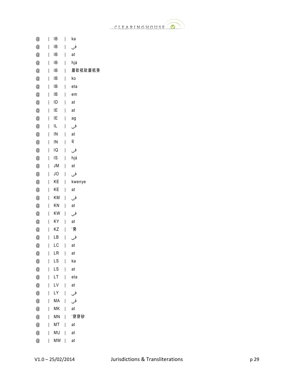| @               | I                        | IB        | I                        | ka      |
|-----------------|--------------------------|-----------|--------------------------|---------|
| @               | I                        | ΙB        | I                        | فی      |
| @               | $\overline{\phantom{a}}$ | ΙB        | I                        | at      |
| @               | I                        | IB        | I                        | hjá     |
| @               | $\overline{\phantom{a}}$ | IB        | I                        | 眉砍祇砍眉祇癸 |
| @               | I                        | ΙB        | I                        | ko      |
| @               | I                        | IB        | I                        | eta     |
| $^{\copyright}$ | $\overline{\phantom{a}}$ | IB        | I                        | em      |
| $^{\copyright}$ | I                        | ID        | I                        | at      |
| @               | $\overline{\phantom{a}}$ | E         | I                        | at      |
| @               | I                        | IE        | $\overline{\phantom{a}}$ | ag      |
| @               | I                        | IL        | I                        | فی      |
| $^{\circledR}$  | $\overline{\phantom{a}}$ | IN        | $\bigg $                 | at      |
| $^{\copyright}$ | $\overline{\phantom{a}}$ | IN        | $\bigg $                 | में     |
| @               | I                        | IQ        | $\bigg $                 | فی      |
| $^{\copyright}$ | $\overline{\phantom{a}}$ | IS.       | $\overline{\phantom{a}}$ | hjá     |
| @               |                          | JM        | $\bigg $                 | at      |
| @               | $\overline{\phantom{a}}$ | JO        | I                        | فی      |
| @               | I                        | KE        | I                        | kwenye  |
| $^{\copyright}$ | I                        | KE        | I                        | at      |
| $^{\circledR}$  | $\overline{\phantom{a}}$ | KM        | I                        | فی      |
| $^{\circledR}$  | I                        | KN        | I                        | at      |
| @               | I                        | <b>KW</b> | I                        | فی      |
| $^{\copyright}$ | $\overline{\phantom{a}}$ | KY        | $\overline{\phantom{a}}$ | at      |
| @               | $\overline{\phantom{a}}$ | KZ        | $\bigg $                 | ' 癸     |
| @               |                          | $ $ LB    | $\bigg $                 | فی      |
| @               | I                        | LC        | I                        | at      |
| $^{\circledR}$  | I                        | LR        | I                        | at      |
| $^{\circledR}$  | I                        | LS        | I                        | ka      |
| $^{\circledR}$  | I                        | LS        | I                        | at      |
| $^{\circledR}$  | I                        | LT        | I                        | eta     |
| @               | I                        | LV        | I                        | at      |
| $^{\circledR}$  | I                        | LΥ        | I                        | فی      |
| $^{\copyright}$ |                          | МA        | I                        | فی      |
| @               | I                        | МK        | I                        | at      |
| $^{\copyright}$ | I                        | MN        | I                        | '穿穿砂    |
| @               |                          | МT        | I                        | at      |
| $^{\copyright}$ | I                        | MU        | I                        | at      |
| @               |                          | MW        | I                        | at      |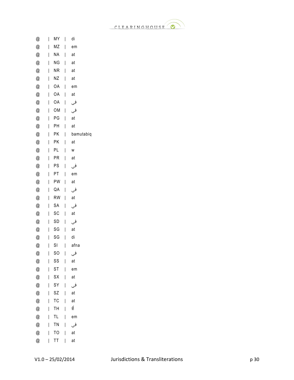CLEARINGHOUSE C

| @                         | I | MΥ           | I                        | di        |
|---------------------------|---|--------------|--------------------------|-----------|
| @                         | I | ΜZ           | I                        | em        |
| $^\text{\textregistered}$ | I | ΝA           | I                        | at        |
| $^\text{\textregistered}$ | I | ΝG           | I                        | at        |
| @                         | I | ΝR           | I                        | at        |
| $^\text{\textregistered}$ | I | ΝZ           | I                        | at        |
| @                         | I | ОA           | I                        | em        |
| $^\text{\textregistered}$ | I | ОA           | $\overline{\phantom{a}}$ | at        |
| $^\text{\textregistered}$ | I | OA           | I                        | فی        |
| @                         | I | ОM           | L                        | فی        |
| @                         | I | PG           | $\overline{\phantom{a}}$ | at        |
| @                         | I | PH           | I                        | at        |
| @                         | I | ΡK           | I                        | bamutabiq |
| $^\text{\textregistered}$ | I | РK           | $\overline{\phantom{a}}$ | at        |
| @                         | I | PL           | I                        | W         |
| @                         | I | PR           | $\overline{\phantom{a}}$ | at        |
| $^\text{\textregistered}$ | I | PS           | I                        | فی        |
| @                         | I | PT           | $\overline{\phantom{a}}$ | em        |
| $^\text{\textregistered}$ | I | PW           | $\overline{\phantom{a}}$ | at        |
| @                         | I | QA           | I                        | فی        |
| $^\text{\textregistered}$ | I | <b>RW</b>    | $\overline{\phantom{a}}$ | at        |
| $^\text{\textregistered}$ | I | SΑ           | I                        | فی        |
| @                         | I | SC           | $\overline{\phantom{a}}$ | at        |
| $^\text{\textregistered}$ | I | SD           | I                        | فی        |
| $^\text{\textregistered}$ | I | SG           | I                        | at        |
| @                         | I | SG           | $\overline{\phantom{a}}$ | di        |
| @                         | I | $\mathsf{S}$ | I                        | afna      |
| @                         | I | SΟ           | I                        | فر        |
| @                         | I | SS           | I                        | at        |
| @                         | I | ST           | I                        | em        |
| @                         | I | SX           | I                        | at        |
| @                         | I | SY           | I                        | فی        |
| @                         | I | SZ           | I                        | at        |
| @                         | I | <b>TC</b>    | I                        | at        |
| @                         | I | TH           | I                        | ที่       |
| @                         | I | TL           | I                        | em        |
| @                         | I | TN           | I                        | فی        |
| @                         | I | <b>TO</b>    | I                        | at        |
| @                         |   | ΤT           |                          | at        |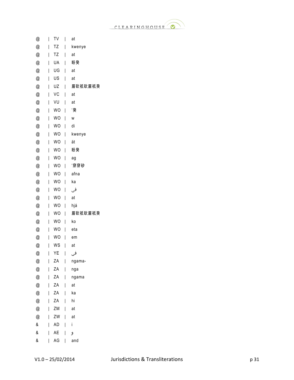| @                         | I | TV | I | at      |
|---------------------------|---|----|---|---------|
| @                         | I | TZ | I | kwenye  |
| @                         | I | TZ | I | at      |
| @                         | I | UA | I | 盼癸      |
| $^{\textregistered}$      | I | UG | I | at      |
| $^{\textregistered}$      | I | US | I | at      |
| $^{\textregistered}$      | I | UZ | I | 眉砍祇砍眉祇癸 |
| @                         | I | VC | I | at      |
| @                         | I | VU | I | at      |
| $^\text{\textregistered}$ | I | WO | I | '癸      |
| $^\text{\textregistered}$ | I | WO | I | W       |
| @                         | I | WO | I | di      |
| $^{\textregistered}$      | I | WO | I | kwenye  |
| @                         | I | WO | I | ät      |
| $^\text{\textregistered}$ | I | WO | I | 盼癸      |
| $^\text{\textregistered}$ | I | WO | I | ag      |
| @                         | I | WO | I | '穿穿砂    |
| $^{\textregistered}$      | I | WO | I | afna    |
| $^{\textregistered}$      | I | WO | I | ka      |
| @                         | I | WO | I | فی      |
| $^{\textregistered}$      | I | WO | I | at      |
| $^{\textregistered}$      | I | WO | I | hjá     |
| $^{\textregistered}$      | I | WO | I | 眉砍祇砍眉祇癸 |
| $^{\textregistered}$      | I | WO | I | ko      |
| @                         | I | WO | I | eta     |
| @                         | I | WO | I | em      |
| @                         | I | WS | I | at      |
| @                         | I | ΥE | I | فی      |
| @                         |   | ΖA | I | ngama-  |
| @                         |   | ΖA | I | nga     |
| @                         |   | ΖA | I | ngama   |
| @                         | I | ΖA | I | at      |
| $^{\textregistered}$      |   | ΖA | I | ka      |
| @                         |   | ZA | I | hi      |
| @                         |   | ΖM | I | at      |
| @                         |   | ZW | I | at      |
| &                         |   | AD | I | i       |
| &                         | I | AE | I | و       |
| &                         |   | AG | I | and     |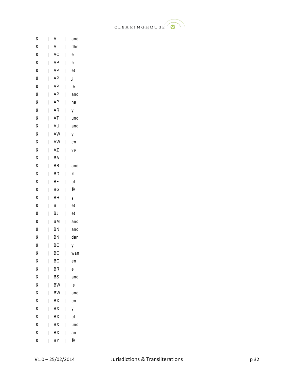| & | I | Al        | I | and           |
|---|---|-----------|---|---------------|
| & | I | AL        | ۱ | dhe           |
| & | I | AO        | I | e             |
| & | I | AP        | I | e             |
| & | I | АP        | ۱ | et            |
| & | I | АP        | I | و             |
| & | I | AP        | I | le            |
| & | I | AP        | I | and           |
| & | I | AΡ        | I | na            |
| & | I | AR        | ۱ | y             |
| & | I | AT        | ۱ | und           |
| & | I | AU        | I | and           |
| & | I | AW        | ۱ | у             |
| & | I | AW        | I | en            |
| & | I | AΖ        | ۱ | və            |
| & | I | ΒA        | I | i             |
| & | I | ΒB        | I | and           |
| & | I | ВD        | ۱ | $\mathcal{O}$ |
| & | I | ΒF        | ۱ | et            |
| & | I | ВG        | I | 盹             |
| & | I | ΒH        | I | و             |
| & | I | ΒI        | I | et            |
| & | I | ВJ        | ۱ | et            |
| & | I | ВM        | I | and           |
| & | I | ΒN        | I | and           |
| & | I | ΒN        | I | dan           |
| & | I | ВO        | ۱ | у             |
| & | I | ВO        | I | wan           |
| & | I | BQ        | I | en            |
| & | I | ΒR        | ۱ | e             |
| & | I | ВS        | I | and           |
| & | I | <b>BW</b> | I | le            |
| & | I | <b>BW</b> | I | and           |
| & | I | BΧ        | I | en            |
| & | I | BΧ        | ۱ | у             |
| & | I | BΧ        | ۱ | et            |
| & | I | BΧ        | I | und           |
| & | I | BΧ        | ۱ | an            |
| & | I | BΥ        | I | 盹             |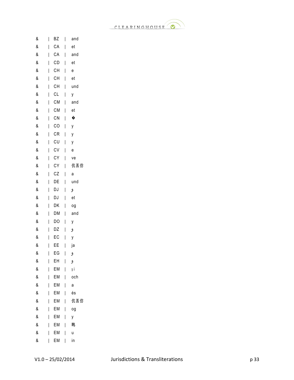| & | ۱ | ΒZ        | ۱ | and |
|---|---|-----------|---|-----|
| & | I | СA        | I | et  |
| & | I | СA        | I | and |
| & | I | CD        | ۱ | et  |
| & | I | СH        | I | e   |
| & | I | СH        | ۱ | et  |
| & | I | СH        | I | und |
| & | ۱ | CL        | ۱ | y   |
| & | I | <b>CM</b> | ۱ | and |
| & | I | СM        | I | et  |
| & | I | CN        | I | ♦   |
| & | I | CO        | I | у   |
| & | I | CR        | I | y   |
| & | I | CU        | ۱ | y   |
| & | I | CV        | I | е   |
| & | ۱ | CΥ        | ۱ | ve  |
| & | I | CY        | ۱ | 伉丟仿 |
| & | I | CZ        | I | a   |
| & | I | DE        | ۱ | und |
| & | I | DJ        | I | و   |
| & | I | DJ        | I | et  |
| & | I | DK        | I | og  |
| & | I | DM        | I | and |
| & | I | DO        | I | у   |
| & | I | DZ        | I | و   |
| & | I | EC        | ۱ | y   |
| & | ۱ | EE        | ۱ | ja  |
| & | I | EG        | I | و   |
| & | I | ΕH        | I | و   |
| & | I | ЕM        | ۱ | ș i |
| & | I | EM        | ۱ | och |
| & | I | ЕM        | I | a   |
| & | I | EM        | I | és  |
| & | I | ЕM        | I | 伉丟仿 |
| & | I | ЕM        | ۱ | og  |
| & | I | ЕM        | ۱ | y   |
| & | I | ЕM        | I | 盹   |
| & | I | ЕM        | ۱ | u   |
| & | I | EM        | I | in  |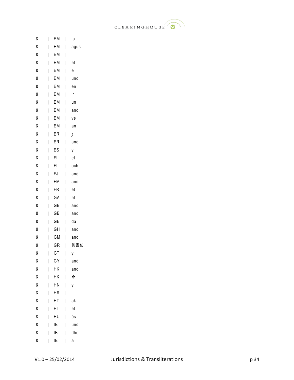| & | I | ЕM | I | ја   |
|---|---|----|---|------|
| & | I | ЕM | ۱ | agus |
| & | I | EМ | I | i    |
| & | I | ЕM | ۱ | et   |
| & | I | ЕM | ۱ | е    |
| & | I | ЕM | I | und  |
| & | ۱ | ЕM | ۱ | en   |
| & | ۱ | ЕM | ۱ | ir   |
| & | I | EМ | I | un   |
| & | ۱ | ЕM | ۱ | and  |
| & | I | ЕM | I | ve   |
| & | I | EМ | ۱ | an   |
| & | I | ER | I | و    |
| & | I | ER | I | and  |
| & | I | ES | ۱ | у    |
| & | I | FI | I | et   |
| & | I | FI | I | och  |
| & | I | FJ | ۱ | and  |
| & | I | FM | I | and  |
| & | ۱ | FR | ۱ | et   |
| & | I | GА | ۱ | et   |
| & | I | GB | I | and  |
| & | I | GB | ۱ | and  |
| & | I | GЕ | I | da   |
| & | I | GΗ | I | and  |
| & | I | GM | ۱ | and  |
| & | I | GR | ١ | 伉丟仿  |
| & | I | GT | I | у    |
| & | I | GY | I | and  |
| & | I | НK | I | and  |
| & | I | НK | I | ♦    |
| & | I | ΗN | I | у    |
| & | I | HR | I | i    |
| & | I | НT | I | ak   |
| & | I | HT | I | et   |
| & | I | HU | I | és   |
| & | I | ΙB | I | und  |
| & | I | ΙB | I | dhe  |
| & | I | ΙB | I | а    |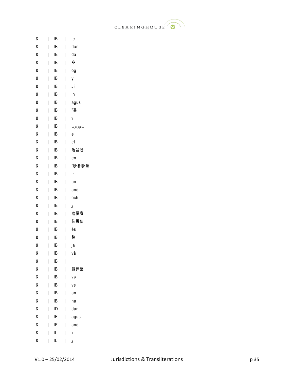| & | ۱ | ΙB<br>I | le      |
|---|---|---------|---------|
| & | I | ΙB<br>۱ | dan     |
| & | I | ΙB<br>I | da      |
| & | I | ΙB<br>I | ♦       |
| & | I | ΙB<br>I | og      |
| & | I | ΙB<br>I | y       |
| & | I | ΙB<br>۱ | ș i     |
| & | I | ΙB<br>I | in      |
| & | I | ΙB<br>I | agus    |
| & | ۱ | ΙB<br>۱ | "癸      |
| & | I | ΙB<br>۱ | ı       |
| & | I | ΙB<br>I | மற்றும் |
| & | ۱ | ΙB<br>I | e       |
| & | I | ΙB<br>I | et      |
| & | I | ΙB<br>۱ | 盾盆盼     |
| & | I | ΙB<br>۱ | en      |
| & | I | ΙB<br>I | "眇看眇盼   |
| & | ۱ | ΙB<br>۱ | ir      |
| & | I | IB<br>I | un      |
| & | I | ΙB<br>I | and     |
| & | ۱ | ΙB<br>۱ | och     |
| & | I | ΙB<br>I | و       |
| & | ۱ | I<br>ΙB | 哈扁宥     |
| & | I | ΙB<br>I | 伉丟仿     |
| & | I | ΙB<br>I | és      |
| & | ۱ | ΙB<br>I | 盹       |
| & | ۱ | ΙB<br>I | ja      |
| 8 | I | ΙB<br>I | ٧à      |
| & | I | ΙB<br>I | i       |
| & | I | ΙB<br>I | 斜葬堅     |
| & | I | ΙB<br>I | və      |
| & | I | ΙB<br>I | ve      |
| & | I | ΙB<br>I | an      |
| & |   | ΙB<br>I | na      |
| & | I | ID<br>I | dan     |
| & | I | ΙE<br>I | agus    |
| & |   | ΙE      | and     |
| & | I | IL<br>I | J       |
| & | I | IL<br>I | و       |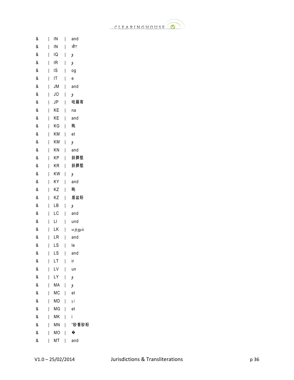| & | I | IN<br>I | and     |
|---|---|---------|---------|
| & | I | IN<br>I | और      |
| & | I | IQ<br>I | و       |
| & | I | ΙR<br>I | و       |
| & | I | IS<br>I | og      |
| & | I | ΙT<br>I | e       |
| & | I | JM<br>I | and     |
| & | I | JO<br>I | و       |
| & | I | JP<br>I | 哈扁宥     |
| & | I | ΚE<br>I | na      |
| & | I | KE<br>I | and     |
| & | I | ΚG<br>I | 盹       |
| & | I | ΚM<br>I | et      |
| & | I | ΚM<br>I | و       |
| & | I | ΚN<br>I | and     |
| & | I | КP<br>I | 斜葬堅     |
| & | I | ΚR<br>I | 斜葬堅     |
| & | I | KW<br>I | و       |
| & | I | ΚY<br>I | and     |
| & | I | ΚZ<br>I | 盹       |
| & | I | ΚZ<br>I | 盾盆盼     |
| & | I | LВ<br>I | و       |
| & | I | LC<br>I | and     |
| & | I | LI<br>I | und     |
| & | I | LK<br>I | மற்றும் |
| & | I | LR<br>I | and     |
| & | ۱ | LS<br>I | le      |
| & | I | LS<br>I | and     |
| & | I | LT<br>I | ir      |
| & | I | LV<br>I | un      |
| & | I | LΥ<br>I | و       |
| & | I | МA<br>I | و       |
| & | I | МC<br>I | et      |
| & | I | MD<br>I | ș i     |
| & | I | MG<br>I | et      |
| & | I | МK<br>I | i       |
| & | I | ΜN<br>I | "眇看眇盼   |
| & | I | МO<br>۱ | ♦       |
| & | I | МT<br>I | and     |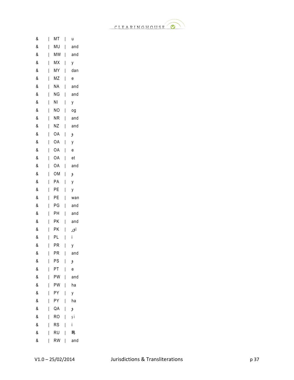| & | I | МT        | I | u   |
|---|---|-----------|---|-----|
| & | I | ΜU        | ۱ | and |
| & | I | MW        | ۱ | and |
| & | I | МX        | ۱ | у   |
| & | I | MΥ        | ۱ | dan |
| & | I | MΖ        | I | e   |
| & | I | NΑ        | ۱ | and |
| & | I | ΝG        | ۱ | and |
| & | I | ΝI        | I | у   |
| & | I | ΝO        | ۱ | og  |
| & | I | ΝR        | I | and |
| & | I | ΝZ        | ۱ | and |
| & | I | OA        | I | و   |
| & | I | OA        | I | у   |
| & | I | OA        | ۱ | e   |
| & | I | OA        | ۱ | et  |
| & | I | OA        | I | and |
| & | I | <b>OM</b> | I | و   |
| & | I | РA        | I | у   |
| & | I | РE        | ۱ | y   |
| & | I | РE        | I | wan |
| & | I | ΡG        | I | and |
| & | I | ΡH        | ۱ | and |
| & | I | PΚ        | ۱ | and |
| & | I | ΡK        | I | اور |
| & | I | PL        | ۱ | i   |
| & | I | ΡR        | I | y   |
| & | I | ΡR        | I | and |
| & | I | PS        | I | و   |
| & | I | PT        | I | е   |
| & | I | PW        | I | and |
| & | I | PW        | ۱ | ha  |
| & | I | PY        | I | у   |
| & | I | PY        | I | ha  |
| & | I | QA        | I | و   |
| & | I | RO        | I | ș i |
| & | I | RS        | I | i   |
| & | I | RU        | I | 盹   |
| & | I | RW        | I | and |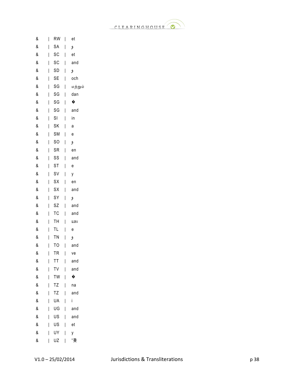| & | I | RW        | I | et      |
|---|---|-----------|---|---------|
| & | I | SA        | ۱ | و       |
| & | I | SC        | I | et      |
| & | I | SC        | ۱ | and     |
| & | I | <b>SD</b> | I | و       |
| & | I | SE        | I | och     |
| & | I | SG        | ۱ | மற்றும் |
| & | I | SG        | ۱ | dan     |
| & | I | SG        | ۱ | ♦       |
| & | I | SG        | ۱ | and     |
| & | I | SI        | I | in      |
| & | I | SK        | ۱ | a       |
| & | I | <b>SM</b> | ۱ | e       |
| & | I | SO        | I | و       |
| & | I | SR        | ۱ | en      |
| & | I | SS        | ۱ | and     |
| & | I | ST        | I | e       |
| & | I | <b>SV</b> | ۱ | у       |
| & | I | SX        | I | en      |
| & | I | SX        | ۱ | and     |
| & | I | SY        | I | و       |
| & | I | SZ        | I | and     |
| & | I | ТC        | ۱ | and     |
| & | I | ΤH        | I | และ     |
| & | I | TL        | I | e       |
| & | I | ΤN        | ۱ | و       |
| & | I | TO        | I | and     |
| & | I | ΤR        | I | ve      |
| & | I | ΤT        | I | and     |
| & | I | TV        | I | and     |
| & | I | TW        | I | ♦       |
| & | I | ΤZ        | I | na      |
| & | I | TZ        | I | and     |
| & | I | UA        | I | i       |
| & | I | UG        | I | and     |
| & | I | US        | I | and     |
| & | I | US        | I | et      |
| & | I | UY        | I | у       |
| & | I | UZ        | I | " 癸     |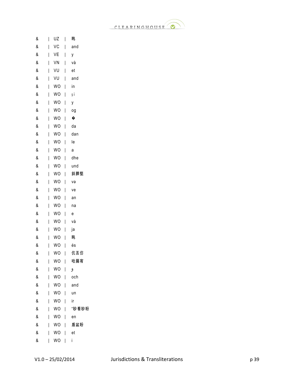| & | I | UZ | ۱ | 盹     |
|---|---|----|---|-------|
| & | I | VC | I | and   |
| & | I | VE | I | у     |
| & | I | VN | I | và    |
| & | I | VU | I | et    |
| & | I | VU | I | and   |
| & | I | WO | I | in    |
| & | I | WO | I | ș i   |
| & | I | WO | I | y     |
| & | I | WO | I | og    |
| & | I | WO | I | ♦     |
| & | I | WO | I | da    |
| & | I | WO | I | dan   |
| & | I | WO | I | le    |
| & | I | WO | I | a     |
| & | I | WO | I | dhe   |
| & | I | WO | I | und   |
| & | I | WO | I | 斜葬堅   |
| & | I | WO | I | Və    |
| & | I | WO | I | ve    |
| & | I | WO | I | an    |
| & | I | WO | I | na    |
| & | I | WO | I | е     |
| & | I | WO | I | và    |
| & | I | WO | I | ja    |
| & | I | WO | I | 盹     |
| & | I | WO | I | és    |
| & | I | WO | I | 伉丟仿   |
| & | I | WO | I | 哈扁宥   |
| & | I | WO | I | و     |
| & | I | WO | I | och   |
| & | I | WO | I | and   |
| & | I | WO | I | un    |
| & | I | WO | I | ir    |
| & | I | WO | I | "眇看眇盼 |
| & | I | WO | I | en    |
| & | I | WO | I | 盾盆盼   |
| & | I | WO | I | et    |
| & | I | WO | I | i     |